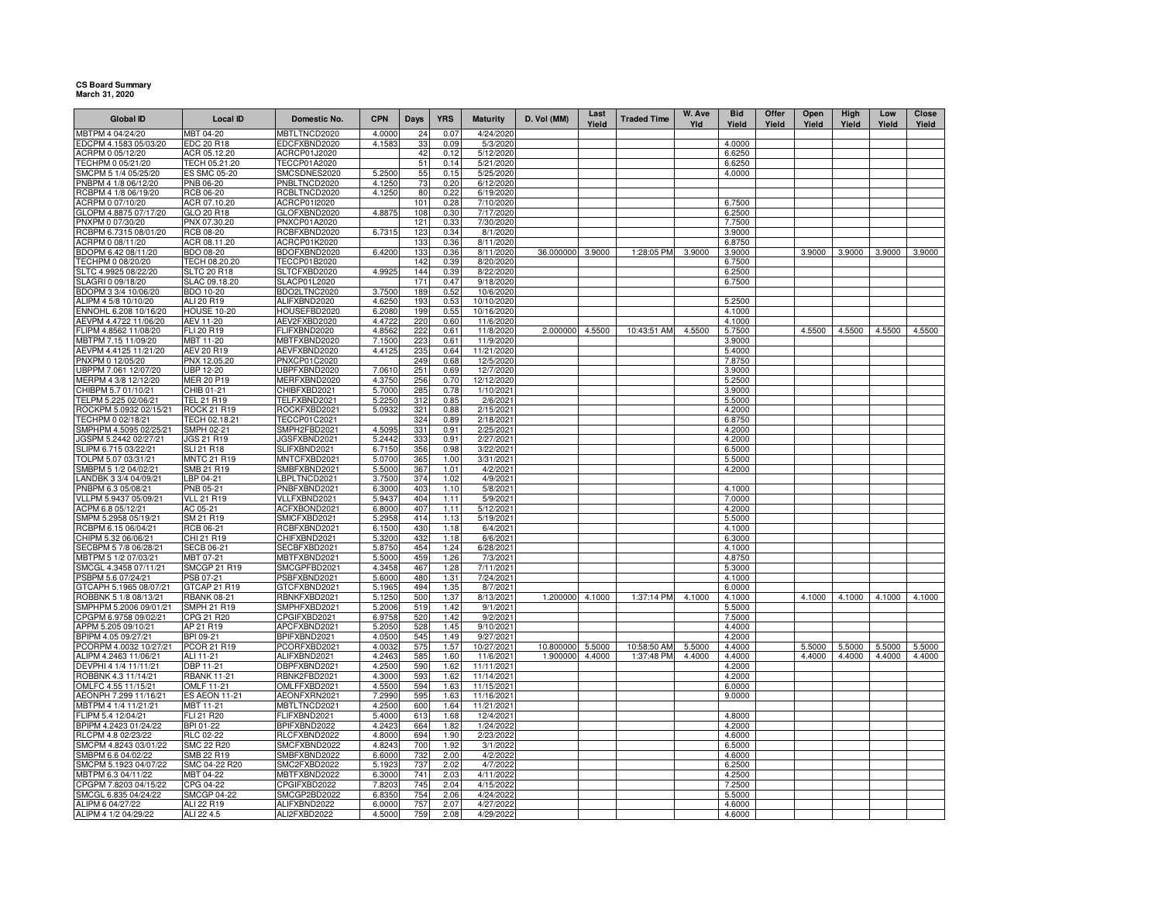## **CS Board Summary March 31, 2020**

| <b>Global ID</b>                                | <b>Local ID</b>                        | <b>Domestic No.</b>          | <b>CPN</b>       | Days       | <b>YRS</b>   | <b>Maturity</b>          | D. Vol (MM) | Last<br>Yield | <b>Traded Time</b> | W. Ave<br>Yld | <b>Bid</b><br>Yield | Offer<br>Yield | Open<br>Yield | High<br>Yield | Low<br>Yield | Close<br>Yield |
|-------------------------------------------------|----------------------------------------|------------------------------|------------------|------------|--------------|--------------------------|-------------|---------------|--------------------|---------------|---------------------|----------------|---------------|---------------|--------------|----------------|
| MBTPM 4 04/24/20                                | MBT 04-20                              | MBTLTNCD2020                 | 4.0000           | 24         | 0.07         | 4/24/2020                |             |               |                    |               |                     |                |               |               |              |                |
| EDCPM 4.1583 05/03/20                           | EDC 20 R18                             | EDCFXBND2020                 | 4.1583           | 33         | 0.09         | 5/3/2020                 |             |               |                    |               | 4.0000              |                |               |               |              |                |
| ACRPM 0 05/12/20                                | ACR 05.12.20                           | ACRCP01J2020                 |                  | 42         | 0.12         | 5/12/2020                |             |               |                    |               | 6.6250              |                |               |               |              |                |
| TECHPM 0 05/21/20                               | TECH 05.21.20                          | TECCP01A2020                 |                  | 51         | 0.14         | 5/21/2020                |             |               |                    |               | 6.6250              |                |               |               |              |                |
| SMCPM 5 1/4 05/25/20                            | ES SMC 05-20                           | SMCSDNES2020                 | 5.250            | 55         | 0.15         | 5/25/2020                |             |               |                    |               | 4.0000              |                |               |               |              |                |
| PNBPM 4 1/8 06/12/20<br>RCBPM 4 1/8 06/19/20    | PNB 06-20<br><b>RCB 06-20</b>          | PNBLTNCD2020<br>RCBLTNCD2020 | 4.1250<br>4.1250 | 73<br>80   | 0.20<br>0.22 | 6/12/2020<br>6/19/2020   |             |               |                    |               |                     |                |               |               |              |                |
| ACRPM 0 07/10/20                                | ACR 07.10.20                           | ACRCP01I2020                 |                  | 101        | 0.28         | 7/10/2020                |             |               |                    |               | 6.7500              |                |               |               |              |                |
| GLOPM 4.8875 07/17/20                           | GLO 20 R18                             | GLOFXBND2020                 | 4.8875           | 108        | 0.30         | 7/17/2020                |             |               |                    |               | 6.2500              |                |               |               |              |                |
| PNXPM 0 07/30/20                                | PNX 07.30.20                           | <b>PNXCP01A2020</b>          |                  | 121        | 0.33         | 7/30/2020                |             |               |                    |               | 7.7500              |                |               |               |              |                |
| RCBPM 6.7315 08/01/20                           | <b>RCB 08-20</b>                       | RCBFXBND2020                 | 6.7315           | 123        | 0.34         | 8/1/2020                 |             |               |                    |               | 3.9000              |                |               |               |              |                |
| ACRPM 0 08/11/20                                | ACR 08.11.20                           | ACRCP01K2020                 |                  | 133        | 0.36         | 8/11/2020                |             |               |                    |               | 6.8750              |                |               |               |              |                |
| BDOPM 6.42 08/11/20                             | BDO 08-20                              | BDOFXBND2020                 | 6.4200           | 133        | 0.36         | 8/11/2020                | 36.000000   | 3.9000        | 1:28:05 PM         | 3.9000        | 3.9000              |                | 3.9000        | 3.9000        | 3.9000       | 3.9000         |
| TECHPM 0 08/20/20<br>SLTC 4.9925 08/22/20       | TECH 08.20.20<br><b>SLTC 20 R18</b>    | TECCP01B2020<br>SLTCFXBD2020 | 4.9925           | 142<br>144 | 0.39<br>0.39 | 8/20/2020<br>8/22/2020   |             |               |                    |               | 6.7500<br>6.2500    |                |               |               |              |                |
| SLAGRI 0 09/18/20                               | SLAC 09.18.20                          | <b>SLACP01L2020</b>          |                  | 171        | 0.47         | 9/18/2020                |             |               |                    |               | 6.7500              |                |               |               |              |                |
| BDOPM 3 3/4 10/06/20                            | <b>BDO 10-20</b>                       | BDO2LTNC2020                 | 3.7500           | 189        | 0.52         | 10/6/2020                |             |               |                    |               |                     |                |               |               |              |                |
| ALIPM 4 5/8 10/10/20                            | ALI 20 R19                             | ALIFXBND2020                 | 4.6250           | 193        | 0.53         | 10/10/2020               |             |               |                    |               | 5.2500              |                |               |               |              |                |
| ENNOHL 6.208 10/16/20                           | <b>HOUSE 10-20</b>                     | HOUSEFBD2020                 | 6.2080           | 199        | 0.55         | 10/16/2020               |             |               |                    |               | 4.1000              |                |               |               |              |                |
| AEVPM 4.4722 11/06/20                           | AEV 11-20                              | AEV2FXBD2020                 | 4.4722           | 220        | 0.60         | 11/6/2020                |             |               |                    |               | 4.1000              |                |               |               |              |                |
| FLIPM 4.8562 11/08/20                           | FLI 20 R19                             | FLIFXBND2020                 | 4.856            | 222        | 0.61         | 11/8/2020                | 2.000000    | 4.5500        | 10:43:51 AM        | 4.5500        | 5.7500              |                | 4.5500        | 4.5500        | 4.5500       | 4.5500         |
| MBTPM 7.15 11/09/20                             | MBT 11-20                              | MBTFXBND2020                 | 7.1500           | 223        | 0.61         | 11/9/2020                |             |               |                    |               | 3.9000              |                |               |               |              |                |
| AEVPM 4.4125 11/21/20<br>PNXPM 0 12/05/20       | AEV 20 R19<br>PNX 12.05.20             | AEVFXBND2020<br>PNXCP01C2020 | 4.4125           | 235<br>249 | 0.64<br>0.68 | 11/21/2020<br>12/5/2020  |             |               |                    |               | 5.4000<br>7.8750    |                |               |               |              |                |
| UBPPM 7.061 12/07/20                            | <b>UBP 12-20</b>                       | UBPFXBND2020                 | 7.0610           | 251        | 0.69         | 12/7/2020                |             |               |                    |               | 3.9000              |                |               |               |              |                |
| MERPM 4 3/8 12/12/20                            | MER 20 P19                             | MERFXBND2020                 | 4.3750           | 256        | 0.70         | 12/12/2020               |             |               |                    |               | 5.2500              |                |               |               |              |                |
| CHIBPM 5.7 01/10/21                             | CHIB 01-21                             | CHIBFXBD2021                 | 5.7000           | 285        | 0.78         | 1/10/2021                |             |               |                    |               | 3.9000              |                |               |               |              |                |
| TELPM 5.225 02/06/21                            | TEL21R19                               | TELFXBND2021                 | 5.2250           | 312        | 0.85         | 2/6/2021                 |             |               |                    |               | 5.5000              |                |               |               |              |                |
| ROCKPM 5.0932 02/15/21                          | <b>ROCK 21 R19</b>                     | ROCKFXBD2021                 | 5.0932           | 321        | 0.88         | 2/15/2021                |             |               |                    |               | 4.2000              |                |               |               |              |                |
| TECHPM 0 02/18/21                               | TECH 02.18.21                          | TECCP01C2021                 |                  | 324        | 0.89         | 2/18/2021                |             |               |                    |               | 6.8750              |                |               |               |              |                |
| SMPHPM 4.5095 02/25/21                          | SMPH 02-21                             | SMPH2FBD2021                 | 4.509            | 331        | 0.91         | 2/25/2021                |             |               |                    |               | 4.2000              |                |               |               |              |                |
| JGSPM 5.2442 02/27/21<br>SLIPM 6.715 03/22/21   | <b>JGS 21 R19</b><br><b>SLI 21 R18</b> | JGSFXBND2021<br>SLIFXBND2021 | 5.2442<br>6.7150 | 333<br>356 | 0.91<br>0.98 | 2/27/2021<br>3/22/2021   |             |               |                    |               | 4.2000<br>6.5000    |                |               |               |              |                |
| TOLPM 5.07 03/31/21                             | <b>MNTC 21 R19</b>                     | MNTCFXBD2021                 | 5.0700           | 365        | 1.00         | 3/31/2021                |             |               |                    |               | 5.5000              |                |               |               |              |                |
| SMBPM 5 1/2 04/02/21                            | SMB 21 R19                             | SMBFXBND2021                 | 5.5000           | 367        | 1.01         | 4/2/2021                 |             |               |                    |               | 4.2000              |                |               |               |              |                |
| ANDBK 3 3/4 04/09/21                            | LBP 04-21                              | LBPLTNCD2021                 | 3.7500           | 374        | 1.02         | 4/9/2021                 |             |               |                    |               |                     |                |               |               |              |                |
| PNBPM 6.3 05/08/21                              | PNB 05-21                              | PNBFXBND2021                 | 6.3000           | 403        | 1.10         | 5/8/2021                 |             |               |                    |               | 4.1000              |                |               |               |              |                |
| VLLPM 5.9437 05/09/21                           | <b>VLL 21 R19</b>                      | VLLFXBND2021                 | 5.9437           | 404        | 1.11         | 5/9/2021                 |             |               |                    |               | 7.0000              |                |               |               |              |                |
| ACPM 6.8 05/12/21                               | AC 05-21                               | ACFXBOND2021                 | 6.8000           | 407        | 1.11         | 5/12/2021                |             |               |                    |               | 4.2000              |                |               |               |              |                |
| SMPM 5.2958 05/19/21<br>RCBPM 6.15 06/04/21     | SM 21 R19<br>RCB 06-21                 | SMICFXBD2021<br>RCBFXBND2021 | 5.2958<br>6.1500 | 414<br>430 | 1.13<br>1.18 | 5/19/2021<br>6/4/2021    |             |               |                    |               | 5.5000<br>4.1000    |                |               |               |              |                |
| CHIPM 5.32 06/06/21                             | CHI 21 R19                             | CHIFXBND2021                 | 5.3200           | 432        | 1.18         | 6/6/2021                 |             |               |                    |               | 6.3000              |                |               |               |              |                |
| SECBPM 5 7/8 06/28/21                           | <b>SECB 06-21</b>                      | SECBFXBD2021                 | 5.8750           | 454        | 1.24         | 6/28/2021                |             |               |                    |               | 4.1000              |                |               |               |              |                |
| MBTPM 5 1/2 07/03/21                            | MBT 07-21                              | MBTFXBND2021                 | 5.5000           | 459        | 1.26         | 7/3/2021                 |             |               |                    |               | 4.8750              |                |               |               |              |                |
| SMCGL 4.3458 07/11/21                           | <b>SMCGP 21 R19</b>                    | SMCGPFBD2021                 | 4.3458           | 467        | 1.28         | 7/11/2021                |             |               |                    |               | 5.3000              |                |               |               |              |                |
| PSBPM 5.6 07/24/21                              | PSB 07-21                              | PSBFXBND2021                 | 5.6000           | 480        | 1.31         | 7/24/2021                |             |               |                    |               | 4.1000              |                |               |               |              |                |
| GTCAPH 5.1965 08/07/21                          | GTCAP 21 R19                           | GTCFXBND2021                 | 5.1965           | 494        | 1.35         | 8/7/2021                 |             |               |                    |               | 6.0000              |                |               |               |              |                |
| ROBBNK 5 1/8 08/13/21<br>SMPHPM 5.2006 09/01/21 | <b>RBANK 08-21</b><br>SMPH 21 R19      | RBNKFXBD2021<br>SMPHFXBD2021 | 5.1250<br>5.2006 | 500<br>519 | 1.37<br>1.42 | 8/13/2021<br>9/1/2021    | 1.200000    | 4.1000        | 1:37:14 PM         | 4.1000        | 4.1000<br>5.5000    |                | 4.1000        | 4.1000        | 4.1000       | 4.1000         |
| CPGPM 6.9758 09/02/21                           | CPG 21 R20                             | CPGIFXBD2021                 | 6.9758           | 520        | 1.42         | 9/2/2021                 |             |               |                    |               | 7.5000              |                |               |               |              |                |
| APPM 5.205 09/10/21                             | AP 21 R19                              | APCFXBND2021                 | 5.2050           | 528        | 1.45         | 9/10/2021                |             |               |                    |               | 4.4000              |                |               |               |              |                |
| BPIPM 4.05 09/27/21                             | BPI 09-21                              | BPIFXBND2021                 | 4.0500           | 545        | 1.49         | 9/27/2021                |             |               |                    |               | 4.2000              |                |               |               |              |                |
| PCORPM 4.0032 10/27/21                          | PCOR 21 R19                            | PCORFXBD2021                 | 4.0032           | 575        | 1.57         | 10/27/2021               | 10.800000   | 5.5000        | 10:58:50 AM        | 5.5000        | 4.4000              |                | 5.5000        | 5.5000        | 5.5000       | 5.5000         |
| ALIPM 4.2463 11/06/21                           | ALI 11-21                              | ALIFXBND2021                 | 4.2463           | 585        | 1.60         | 11/6/2021                | 1.900000    | 4.4000        | 1:37:48 PM         | 4.4000        | 4.4000              |                | 4.4000        | 4.4000        | 4.4000       | 4.4000         |
| DEVPHI 4 1/4 11/11/21                           | DBP 11-21                              | DBPFXBND2021                 | 4.2500           | 590        | 1.62         | 11/11/2021               |             |               |                    |               | 4.2000              |                |               |               |              |                |
| ROBBNK 4.3 11/14/21                             | <b>RBANK 11-21</b>                     | RBNK2FBD2021                 | 4.3000           | 593        | 1.62         | 11/14/2021               |             |               |                    |               | 4.2000              |                |               |               |              |                |
| OMLFC 4.55 11/15/21<br>AEONPH 7.299 11/16/21    | OMLF 11-21<br><b>ES AEON 11-21</b>     | OMLFFXBD2021<br>AEONFXRN2021 | 4.5500<br>7.2990 | 594<br>595 | 1.63<br>1.63 | 11/15/2021<br>11/16/2021 |             |               |                    |               | 6.0000<br>9.0000    |                |               |               |              |                |
| MBTPM 4 1/4 11/21/21                            | MBT 11-21                              | MBTLTNCD2021                 | 4.2500           | 600        | 1.64         | 11/21/2021               |             |               |                    |               |                     |                |               |               |              |                |
| FLIPM 5.4 12/04/21                              | <b>FLI 21 R20</b>                      | FLIFXBND2021                 | 5.4000           | 613        | 1.68         | 12/4/2021                |             |               |                    |               | 4.8000              |                |               |               |              |                |
| BPIPM 4.2423 01/24/22                           | BPI 01-22                              | BPIFXBND2022                 | 4.2423           | 664        | 1.82         | 1/24/2022                |             |               |                    |               | 4.2000              |                |               |               |              |                |
| RLCPM 4.8 02/23/22                              | RLC 02-22                              | RLCFXBND2022                 | 4.8000           | 694        | 1.90         | 2/23/2022                |             |               |                    |               | 4.6000              |                |               |               |              |                |
| SMCPM 4.8243 03/01/22                           | <b>SMC 22 R20</b>                      | SMCFXBND2022                 | 4.8243           | 700        | 1.92         | 3/1/2022                 |             |               |                    |               | 6.5000              |                |               |               |              |                |
| SMBPM 6.6 04/02/22                              | SMB 22 R19                             | SMBFXBND2022                 | 6.6000           | 732        | 2.00         | 4/2/2022                 |             |               |                    |               | 4.6000              |                |               |               |              |                |
| SMCPM 5.1923 04/07/22                           | SMC 04-22 R20                          | SMC2FXBD2022                 | 5.1923           | 737        | 2.02         | 4/7/2022                 |             |               |                    |               | 6.2500              |                |               |               |              |                |
| MBTPM 6.3 04/11/22<br>CPGPM 7.8203 04/15/22     | MBT 04-22<br>CPG 04-22                 | MBTFXBND2022<br>CPGIFXBD2022 | 6.3000<br>7.8203 | 741<br>745 | 2.03<br>2.04 | 4/11/2022<br>4/15/2022   |             |               |                    |               | 4.2500<br>7.2500    |                |               |               |              |                |
| SMCGL 6.835 04/24/22                            | <b>SMCGP 04-22</b>                     | SMCGP2BD2022                 | 6.8350           | 754        | 2.06         | 4/24/2022                |             |               |                    |               | 5.5000              |                |               |               |              |                |
| ALIPM 6 04/27/22                                | ALI 22 R19                             | ALIFXBND2022                 | 6.0000           | 757        | 2.07         | 4/27/2022                |             |               |                    |               | 4.6000              |                |               |               |              |                |
| ALIPM 4 1/2 04/29/22                            | ALI 22 4.5                             | ALI2FXBD2022                 | 4.5000           | 759        | 2.08         | 4/29/2022                |             |               |                    |               | 4.6000              |                |               |               |              |                |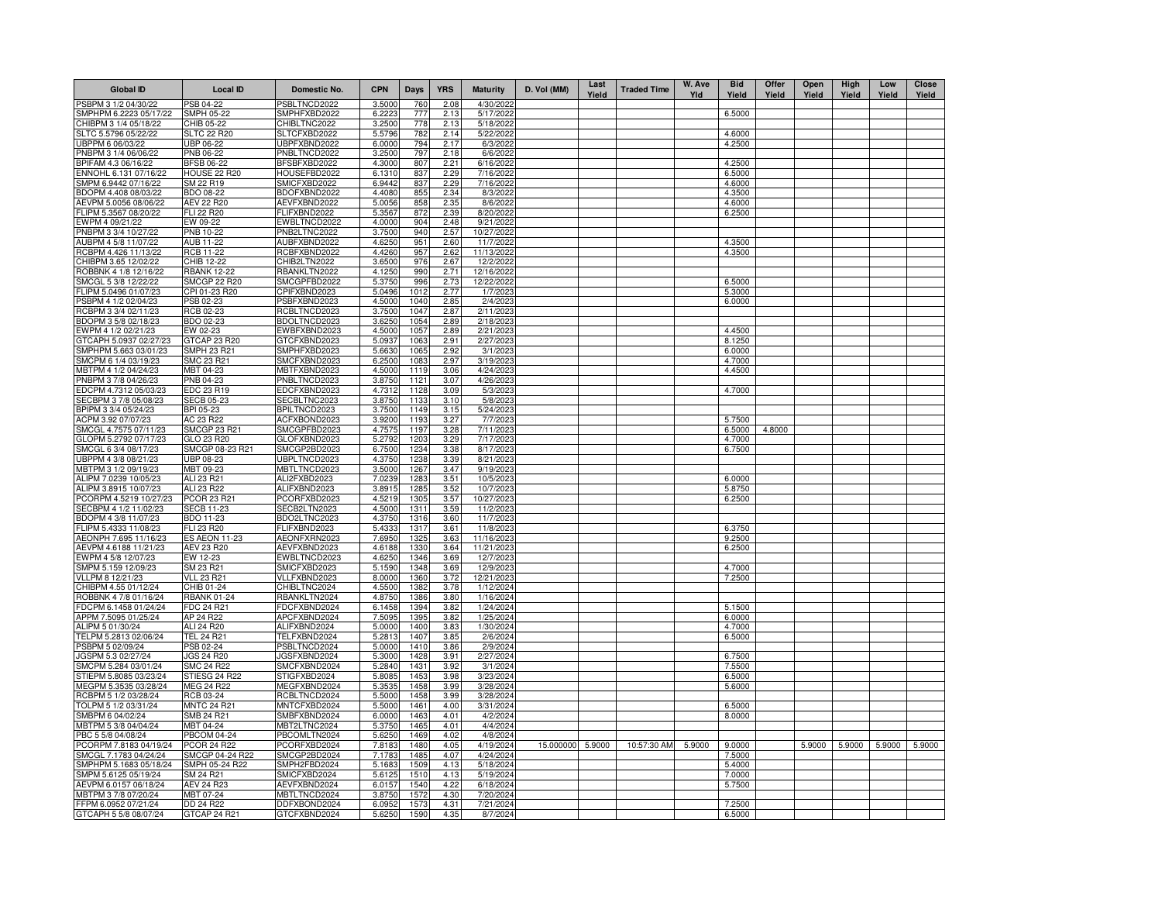| <b>Global ID</b>                                | <b>Local ID</b>                  | Domestic No.                 | <b>CPN</b>       | Days             | <b>YRS</b>   | <b>Maturity</b>         | D. Vol (MM)      | Last<br>Yield | <b>Traded Time</b> | W. Ave<br>Yld | <b>Bid</b><br>Yield | Offer<br>Yield | Open<br>Yield | High<br>Yield | Low<br>Yield | Close<br>Yield |
|-------------------------------------------------|----------------------------------|------------------------------|------------------|------------------|--------------|-------------------------|------------------|---------------|--------------------|---------------|---------------------|----------------|---------------|---------------|--------------|----------------|
| PSBPM 3 1/2 04/30/22                            | PSB 04-22                        | PSBLTNCD2022                 | 3.5000           | 760              | 2.08         | 4/30/2022               |                  |               |                    |               |                     |                |               |               |              |                |
| SMPHPM 6.2223 05/17/22                          | SMPH 05-22                       | SMPHFXBD2022                 | 6.2223           | 777              | 2.13         | 5/17/2022               |                  |               |                    |               | 6.5000              |                |               |               |              |                |
| CHIBPM 3 1/4 05/18/22                           | CHIB 05-22                       | CHIBLTNC2022                 | 3.2500           | 778              | 2.13         | 5/18/2022               |                  |               |                    |               |                     |                |               |               |              |                |
| SLTC 5.5796 05/22/22                            | <b>SLTC 22 R20</b><br>UBP 06-22  | SLTCFXBD2022<br>UBPFXBND2022 | 5.5796           | 782<br>794       | 2.14<br>2.17 | 5/22/2022<br>6/3/2022   |                  |               |                    |               | 4.6000              |                |               |               |              |                |
| UBPPM 6 06/03/22<br>PNBPM 3 1/4 06/06/22        | PNB 06-22                        | PNBLTNCD2022                 | 6.0000<br>3.2500 | 797              | 2.18         | 6/6/2022                |                  |               |                    |               | 4.2500              |                |               |               |              |                |
| BPIFAM 4.3 06/16/22                             | <b>BFSB 06-22</b>                | BFSBFXBD2022                 | 4.3000           | 807              | 2.21         | 6/16/2022               |                  |               |                    |               | 4.2500              |                |               |               |              |                |
| ENNOHL 6.131 07/16/22                           | <b>HOUSE 22 R20</b>              | HOUSEFBD2022                 | 6.1310           | 837              | 2.29         | 7/16/2022               |                  |               |                    |               | 6.5000              |                |               |               |              |                |
| SMPM 6.9442 07/16/22                            | SM 22 R19                        | SMICFXBD2022                 | 6.9442           | 837              | 2.29         | 7/16/2022               |                  |               |                    |               | 4.6000              |                |               |               |              |                |
| BDOPM 4.408 08/03/22                            | BDO 08-22                        | BDOFXBND2022                 | 4.4080           | 855              | 2.34         | 8/3/2022                |                  |               |                    |               | 4.3500              |                |               |               |              |                |
| AEVPM 5.0056 08/06/22                           | <b>AEV 22 R20</b>                | AEVFXBND2022                 | 5.0056           | 858              | 2.35         | 8/6/2022                |                  |               |                    |               | 4.6000              |                |               |               |              |                |
| FLIPM 5.3567 08/20/22                           | <b>FLI 22 R20</b>                | FLIFXBND2022                 | 5.3567           | 872              | 2.39         | 8/20/2022               |                  |               |                    |               | 6.2500              |                |               |               |              |                |
| EWPM 4 09/21/22                                 | EW 09-22                         | EWBLTNCD2022                 | 4.0000           | 904              | 2.48         | 9/21/2022               |                  |               |                    |               |                     |                |               |               |              |                |
| PNBPM 3 3/4 10/27/22                            | PNB 10-22                        | PNB2LTNC2022                 | 3.7500           | 940              | 2.57         | 10/27/2022              |                  |               |                    |               |                     |                |               |               |              |                |
| AUBPM 4 5/8 11/07/22                            | AUB 11-22                        | AUBFXBND2022                 | 4.6250           | 951              | 2.60         | 11/7/2022               |                  |               |                    |               | 4.3500              |                |               |               |              |                |
| RCBPM 4.426 11/13/22<br>CHIBPM 3.65 12/02/22    | RCB 11-22<br><b>CHIB 12-22</b>   | RCBFXBND2022<br>CHIB2LTN2022 | 4.4260<br>3.6500 | 957<br>976       | 2.62<br>2.67 | 11/13/2022<br>12/2/2022 |                  |               |                    |               | 4.3500              |                |               |               |              |                |
| ROBBNK 4 1/8 12/16/22                           | <b>RBANK 12-22</b>               | RBANKLTN2022                 | 4.1250           | 990              | 2.71         | 12/16/2022              |                  |               |                    |               |                     |                |               |               |              |                |
| SMCGL 5 3/8 12/22/22                            | SMCGP 22 R20                     | SMCGPFBD2022                 | 5.3750           | 996              | 2.73         | 12/22/2022              |                  |               |                    |               | 6.5000              |                |               |               |              |                |
| LIPM 5.0496 01/07/23                            | CPI 01-23 R20                    | CPIFXBND2023                 | 5.0496           | 1012             | 2.77         | 1/7/2023                |                  |               |                    |               | 5.3000              |                |               |               |              |                |
| SBPM 4 1/2 02/04/23                             | <b>PSB 02-23</b>                 | PSBFXBND2023                 | 4.5000           | 1040             | 2.85         | 2/4/2023                |                  |               |                    |               | 6.0000              |                |               |               |              |                |
| RCBPM 3 3/4 02/11/23                            | RCB 02-23                        | RCBLTNCD2023                 | 3.7500           | 1047             | 2.87         | 2/11/2023               |                  |               |                    |               |                     |                |               |               |              |                |
| BDOPM 3 5/8 02/18/23                            | BDO 02-23                        | BDOLTNCD2023                 | 3.6250           | 1054             | 2.89         | 2/18/2023               |                  |               |                    |               |                     |                |               |               |              |                |
| EWPM 4 1/2 02/21/23                             | EW 02-23                         | EWBFXBND2023                 | 4.5000           | 1057             | 2.89         | 2/21/2023               |                  |               |                    |               | 4.4500              |                |               |               |              |                |
| GTCAPH 5.0937 02/27/23                          | GTCAP 23 R20                     | GTCFXBND2023                 | 5.0937           | 1063             | 2.91         | 2/27/2023               |                  |               |                    |               | 8.1250              |                |               |               |              |                |
| SMPHPM 5.663 03/01/23                           | SMPH 23 R21                      | SMPHFXBD2023                 | 5.6630           | 106              | 2.92         | 3/1/2023                |                  |               |                    |               | 6.0000              |                |               |               |              |                |
| SMCPM 6 1/4 03/19/23                            | SMC 23 R21                       | SMCFXBND2023                 | 6.2500           | 1083             | 2.97         | 3/19/2023               |                  |               |                    |               | 4.7000              |                |               |               |              |                |
| MBTPM 4 1/2 04/24/23<br>PNBPM 3 7/8 04/26/23    | MBT 04-23<br>PNB 04-23           | MBTFXBND2023<br>PNBLTNCD2023 | 4.5000           | 1119<br>1121     | 3.06<br>3.07 | 4/24/2023<br>4/26/2023  |                  |               |                    |               | 4.4500              |                |               |               |              |                |
| EDCPM 4.7312 05/03/23                           | EDC 23 R19                       | EDCFXBND2023                 | 3.8750<br>4.7312 | 1128             | 3.09         | 5/3/2023                |                  |               |                    |               | 4.7000              |                |               |               |              |                |
| SECBPM 3 7/8 05/08/23                           | <b>SECB 05-23</b>                | SECBLTNC2023                 | 3.8750           | 1133             | 3.10         | 5/8/2023                |                  |               |                    |               |                     |                |               |               |              |                |
| BPIPM 3 3/4 05/24/23                            | BPI 05-23                        | BPILTNCD2023                 | 3.7500           | 1149             | 3.15         | 5/24/2023               |                  |               |                    |               |                     |                |               |               |              |                |
| ACPM 3.92 07/07/23                              | AC 23 R22                        | ACFXBOND2023                 | 3.9200           | 1193             | 3.27         | 7/7/2023                |                  |               |                    |               | 5.7500              |                |               |               |              |                |
| SMCGL 4.7575 07/11/23                           | <b>SMCGP 23 R21</b>              | SMCGPFBD2023                 | 4.7575           | 1197             | 3.28         | 7/11/2023               |                  |               |                    |               | 6.5000              | 4.8000         |               |               |              |                |
| GLOPM 5.2792 07/17/23                           | GLO 23 R20                       | GLOFXBND2023                 | 5.2792           | 1203             | 3.29         | 7/17/2023               |                  |               |                    |               | 4.7000              |                |               |               |              |                |
| SMCGL 6 3/4 08/17/23                            | SMCGP 08-23 R21                  | SMCGP2BD2023                 | 6.7500           | 1234             | 3.38         | 8/17/2023               |                  |               |                    |               | 6.7500              |                |               |               |              |                |
| UBPPM 4 3/8 08/21/23                            | UBP 08-23                        | UBPLTNCD2023                 | 4.3750           | 1238             | 3.39         | 8/21/2023               |                  |               |                    |               |                     |                |               |               |              |                |
| MBTPM 3 1/2 09/19/23                            | MBT 09-23                        | MBTLTNCD2023                 | 3.5000           | 1267             | 3.47         | 9/19/2023               |                  |               |                    |               |                     |                |               |               |              |                |
| ALIPM 7.0239 10/05/23                           | ALI 23 R21                       | ALI2FXBD2023<br>ALIFXBND2023 | 7.0239<br>3.8915 | 1283<br>1285     | 3.51<br>3.52 | 10/5/2023               |                  |               |                    |               | 6.0000              |                |               |               |              |                |
| ALIPM 3.8915 10/07/23<br>PCORPM 4.5219 10/27/23 | ALI 23 R22<br>PCOR 23 R21        | PCORFXBD2023                 | 4.5219           | 1305             | 3.57         | 10/7/2023<br>10/27/2023 |                  |               |                    |               | 5.8750<br>6.2500    |                |               |               |              |                |
| SECBPM 4 1/2 11/02/23                           | SECB 11-23                       | SECB2LTN2023                 | 4.5000           | 1311             | 3.59         | 11/2/2023               |                  |               |                    |               |                     |                |               |               |              |                |
| BDOPM 4 3/8 11/07/23                            | BDO 11-23                        | BDO2LTNC2023                 | 4.3750           | 1316             | 3.60         | 11/7/2023               |                  |               |                    |               |                     |                |               |               |              |                |
| FLIPM 5.4333 11/08/23                           | FLI 23 R20                       | FLIFXBND2023                 | 5.4333           | 1317             | 3.61         | 11/8/2023               |                  |               |                    |               | 6.3750              |                |               |               |              |                |
| AEONPH 7.695 11/16/23                           | <b>ES AEON 11-23</b>             | AEONFXRN2023                 | 7.6950           | 1325             | 3.63         | 11/16/2023              |                  |               |                    |               | 9.2500              |                |               |               |              |                |
| AEVPM 4.6188 11/21/23                           | AEV 23 R20                       | AEVFXBND2023                 | 4.6188           | 1330             | 3.64         | 11/21/2023              |                  |               |                    |               | 6.2500              |                |               |               |              |                |
| EWPM 4 5/8 12/07/23                             | EW 12-23                         | EWBLTNCD2023                 | 4.6250           | 1346             | 3.69         | 12/7/2023               |                  |               |                    |               |                     |                |               |               |              |                |
| SMPM 5.159 12/09/23                             | SM 23 R21                        | SMICFXBD2023                 | 5.1590           | 1348             | 3.69         | 12/9/2023               |                  |               |                    |               | 4.7000              |                |               |               |              |                |
| VLLPM 8 12/21/23                                | <b>VLL 23 R21</b>                | VLLFXBND2023                 | 8.0000           | 1360             | 3.72         | 12/21/2023              |                  |               |                    |               | 7.2500              |                |               |               |              |                |
| CHIBPM 4.55 01/12/24<br>ROBBNK 4 7/8 01/16/24   | CHIB 01-24<br><b>RBANK 01-24</b> | CHIBLTNC2024<br>RBANKLTN2024 | 4.5500<br>4.8750 | 1382<br>1386     | 3.78<br>3.80 | 1/12/2024<br>1/16/2024  |                  |               |                    |               |                     |                |               |               |              |                |
| DCPM 6.1458 01/24/24                            | FDC 24 R21                       | FDCFXBND2024                 | 6.1458           | 1394             | 3.82         | 1/24/2024               |                  |               |                    |               | 5.1500              |                |               |               |              |                |
| APPM 7.5095 01/25/24                            | AP 24 R22                        | APCFXBND2024                 | 7.5095           | 1395             | 3.82         | 1/25/2024               |                  |               |                    |               | 6.0000              |                |               |               |              |                |
| ALIPM 5 01/30/24                                | ALI 24 R20                       | ALIFXBND2024                 | 5.0000           | 1400             | 3.83         | 1/30/2024               |                  |               |                    |               | 4.7000              |                |               |               |              |                |
| TELPM 5.2813 02/06/24                           | <b>TEL 24 R21</b>                | TELFXBND2024                 | 5.2813           | 1407             | 3.85         | 2/6/2024                |                  |               |                    |               | 6.5000              |                |               |               |              |                |
| PSBPM 5 02/09/24                                | PSB 02-24                        | PSBLTNCD2024                 | 5.0000           | 141(             | 3.86         | 2/9/2024                |                  |               |                    |               |                     |                |               |               |              |                |
| GSPM 5.3 02/27/24                               | <b>JGS 24 R20</b>                | JGSFXBND2024                 | 5.3000           | 1428             | 3.91         | 2/27/2024               |                  |               |                    |               | 6.7500              |                |               |               |              |                |
| SMCPM 5.284 03/01/24                            | <b>SMC 24 R22</b>                | SMCFXBND2024                 | 5.2840           | 1431             | 3.92         | 3/1/2024                |                  |               |                    |               | 7.5500              |                |               |               |              |                |
| STIEPM 5.8085 03/23/24                          | STIESG 24 R22                    | STIGFXBD2024                 | 5.8085           | 1453             | 3.98         | 3/23/2024               |                  |               |                    |               | 6.5000              |                |               |               |              |                |
| MEGPM 5.3535 03/28/24<br>RCBPM 5 1/2 03/28/24   | <b>MEG 24 R22</b><br>RCB 03-24   | MEGFXBND2024<br>RCBLTNCD2024 | 5.3535<br>5.5000 | 1458<br>1458     | 3.99<br>3.99 | 3/28/2024<br>3/28/2024  |                  |               |                    |               | 5.6000              |                |               |               |              |                |
| TOLPM 5 1/2 03/31/24                            | <b>MNTC 24 R21</b>               | MNTCFXBD2024                 | 5.5000           | 146 <sup>°</sup> | 4.00         | 3/31/2024               |                  |               |                    |               | 6.5000              |                |               |               |              |                |
| SMBPM 6 04/02/24                                | SMB 24 R21                       | SMBFXBND2024                 | 6.0000           | 146              | 4.01         | 4/2/2024                |                  |               |                    |               | 8.0000              |                |               |               |              |                |
| ABTPM 5 3/8 04/04/24                            | MBT 04-24                        | MBT2LTNC2024                 | 5.3750           | 1465             | 4.01         | 4/4/2024                |                  |               |                    |               |                     |                |               |               |              |                |
| BC 5 5/8 04/08/24                               | <b>PBCOM 04-24</b>               | PBCOMLTN2024                 | 5.6250           | 1469             | 4.02         | 4/8/2024                |                  |               |                    |               |                     |                |               |               |              |                |
| PCORPM 7.8183 04/19/24                          | <b>PCOR 24 R22</b>               | PCORFXBD2024                 | 7.8183           | 1480             | 4.05         | 4/19/2024               | 15.000000 5.9000 |               | 10:57:30 AM        | 5.9000        | 9.0000              |                | 5.9000        | 5.9000        | 5.9000       | 5.9000         |
| SMCGL 7.1783 04/24/24                           | SMCGP 04-24 R22                  | SMCGP2BD2024                 | 7.1783           | 1485             | 4.07         | 4/24/2024               |                  |               |                    |               | 7.5000              |                |               |               |              |                |
| SMPHPM 5.1683 05/18/24                          | SMPH 05-24 R22                   | SMPH2FBD2024                 | 5.1683           | 1509             | 4.13         | 5/18/2024               |                  |               |                    |               | 5.4000              |                |               |               |              |                |
| SMPM 5.6125 05/19/24                            | SM 24 R21                        | SMICFXBD2024                 | 5.6125           | 1510             | 4.13         | 5/19/2024               |                  |               |                    |               | 7.0000              |                |               |               |              |                |
| AEVPM 6.0157 06/18/24                           | <b>AEV 24 R23</b>                | AEVFXBND2024                 | 6.0157           | 1540             | 4.22         | 6/18/2024               |                  |               |                    |               | 5.7500              |                |               |               |              |                |
| ABTPM 3 7/8 07/20/24<br>FPM 6.0952 07/21/24     | MBT 07-24<br>DD 24 R22           | MBTLTNCD2024<br>DDFXBOND2024 | 3.8750<br>6.0952 | 1572<br>157      | 4.30<br>4.31 | 7/20/2024<br>7/21/2024  |                  |               |                    |               | 7.2500              |                |               |               |              |                |
| GTCAPH 5 5/8 08/07/24                           | GTCAP 24 R21                     | GTCFXBND2024                 | 5.6250           | 1590             | 4.35         | 8/7/2024                |                  |               |                    |               | 6.5000              |                |               |               |              |                |
|                                                 |                                  |                              |                  |                  |              |                         |                  |               |                    |               |                     |                |               |               |              |                |